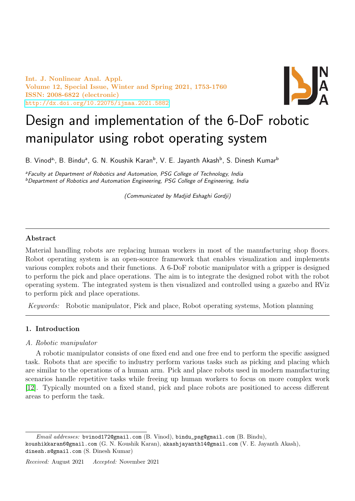Int. J. Nonlinear Anal. Appl. Volume 12, Special Issue, Winter and Spring 2021, 1753-1760 ISSN: 2008-6822 (electronic) <http://dx.doi.org/10.22075/ijnaa.2021.5882>



# Design and implementation of the 6-DoF robotic manipulator using robot operating system

B. Vinod<sup>a,</sup>, B. Bindu<sup>a</sup>, G. N. Koushik Karan<sup>b</sup>, V. E. Jayanth Akash<sup>b</sup>, S. Dinesh Kumar<sup>b</sup>

<sup>a</sup>Faculty at Department of Robotics and Automation, PSG College of Technology, India <sup>b</sup>Department of Robotics and Automation Engineering, PSG College of Engineering, India

(Communicated by Madjid Eshaghi Gordji)

## Abstract

Material handling robots are replacing human workers in most of the manufacturing shop floors. Robot operating system is an open-source framework that enables visualization and implements various complex robots and their functions. A 6-DoF robotic manipulator with a gripper is designed to perform the pick and place operations. The aim is to integrate the designed robot with the robot operating system. The integrated system is then visualized and controlled using a gazebo and RViz to perform pick and place operations.

Keywords: Robotic manipulator, Pick and place, Robot operating systems, Motion planning

## 1. Introduction

### A. Robotic manipulator

A robotic manipulator consists of one fixed end and one free end to perform the specific assigned task. Robots that are specific to industry perform various tasks such as picking and placing which are similar to the operations of a human arm. Pick and place robots used in modern manufacturing scenarios handle repetitive tasks while freeing up human workers to focus on more complex work [\[12\]](#page-7-0). Typically mounted on a fixed stand, pick and place robots are positioned to access different areas to perform the task.

Email addresses: bvinod172@gmail.com (B. Vinod), bindu\_psg@gmail.com (B. Bindu), koushikkaran6@gmail.com (G. N. Koushik Karan), akashjayanth14@gmail.com (V. E. Jayanth Akash), dinesh.s@gmail.com (S. Dinesh Kumar)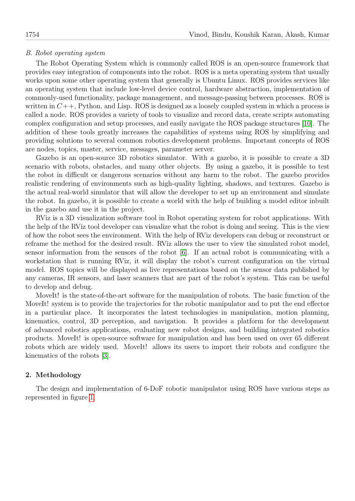#### B. Robot operating system

The Robot Operating System which is commonly called ROS is an open-source framework that provides easy integration of components into the robot. ROS is a meta operating system that usually works upon some other operating system that generally is Ubuntu Linux. ROS provides services like an operating system that include low-level device control, hardware abstraction, implementation of commonly-used functionality, package management, and message-passing between processes. ROS is written in  $C_{++}$ , Python, and Lisp. ROS is designed as a loosely coupled system in which a process is called a node. ROS provides a variety of tools to visualize and record data, create scripts automating complex configuration and setup processes, and easily navigate the ROS package structures [\[10\]](#page-7-1). The addition of these tools greatly increases the capabilities of systems using ROS by simplifying and providing solutions to several common robotics development problems. Important concepts of ROS are nodes, topics, master, service, messages, parameter server.

Gazebo is an open-source 3D robotics simulator. With a gazebo, it is possible to create a 3D scenario with robots, obstacles, and many other objects. By using a gazebo, it is possible to test the robot in difficult or dangerous scenarios without any harm to the robot. The gazebo provides realistic rendering of environments such as high-quality lighting, shadows, and textures. Gazebo is the actual real-world simulator that will allow the developer to set up an environment and simulate the robot. In gazebo, it is possible to create a world with the help of building a model editor inbuilt in the gazebo and use it in the project.

RViz is a 3D visualization software tool in Robot operating system for robot applications. With the help of the RViz tool developer can visualize what the robot is doing and seeing. This is the view of how the robot sees the environment. With the help of RViz developers can debug or reconstruct or reframe the method for the desired result. RViz allows the user to view the simulated robot model, sensor information from the sensors of the robot [\[6\]](#page-7-2). If an actual robot is communicating with a workstation that is running RViz, it will display the robot's current configuration on the virtual model. ROS topics will be displayed as live representations based on the sensor data published by any cameras, IR sensors, and laser scanners that are part of the robot's system. This can be useful to develop and debug.

MoveIt! is the state-of-the-art software for the manipulation of robots. The basic function of the MoveIt! system is to provide the trajectories for the robotic manipulator and to put the end effector in a particular place. It incorporates the latest technologies in manipulation, motion planning, kinematics, control, 3D perception, and navigation. It provides a platform for the development of advanced robotics applications, evaluating new robot designs, and building integrated robotics products. MoveIt! is open-source software for manipulation and has been used on over 65 different robots which are widely used. MoveIt! allows its users to import their robots and configure the kinematics of the robots [\[3\]](#page-7-3).

#### 2. Methodology

The design and implementation of 6-DoF robotic manipulator using ROS have various steps as represented in figure [1.](#page-2-0)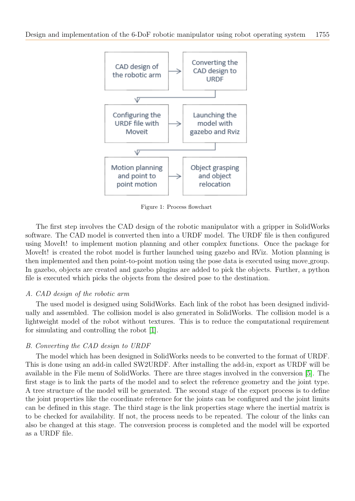

<span id="page-2-0"></span>Figure 1: Process flowchart

The first step involves the CAD design of the robotic manipulator with a gripper in SolidWorks software. The CAD model is converted then into a URDF model. The URDF file is then configured using MoveIt! to implement motion planning and other complex functions. Once the package for MoveIt! is created the robot model is further launched using gazebo and RViz. Motion planning is then implemented and then point-to-point motion using the pose data is executed using move group. In gazebo, objects are created and gazebo plugins are added to pick the objects. Further, a python file is executed which picks the objects from the desired pose to the destination.

### A. CAD design of the robotic arm

The used model is designed using SolidWorks. Each link of the robot has been designed individually and assembled. The collision model is also generated in SolidWorks. The collision model is a lightweight model of the robot without textures. This is to reduce the computational requirement for simulating and controlling the robot [\[1\]](#page-7-4).

### B. Converting the CAD design to URDF

The model which has been designed in SolidWorks needs to be converted to the format of URDF. This is done using an add-in called SW2URDF. After installing the add-in, export as URDF will be available in the File menu of SolidWorks. There are three stages involved in the conversion [\[5\]](#page-7-5). The first stage is to link the parts of the model and to select the reference geometry and the joint type. A tree structure of the model will be generated. The second stage of the export process is to define the joint properties like the coordinate reference for the joints can be configured and the joint limits can be defined in this stage. The third stage is the link properties stage where the inertial matrix is to be checked for availability. If not, the process needs to be repeated. The colour of the links can also be changed at this stage. The conversion process is completed and the model will be exported as a URDF file.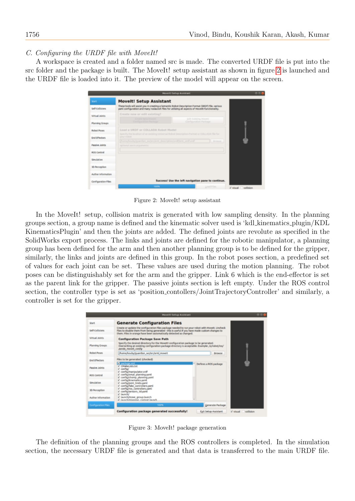## C. Configuring the URDF file with MoveIt!

A workspace is created and a folder named src is made. The converted URDF file is put into the src folder and the package is built. The MoveIt! setup assistant as shown in figure [2](#page-3-0) is launched and the URDF file is loaded into it. The preview of the model will appear on the screen.

|                       | Movelli Selva Assidant                                                                                                                                                                              |                  |  |  |  |  |
|-----------------------|-----------------------------------------------------------------------------------------------------------------------------------------------------------------------------------------------------|------------------|--|--|--|--|
| Start                 | <b>Movelt! Setup Assistant</b>                                                                                                                                                                      |                  |  |  |  |  |
| Self-Collisions       | These tools will assist you in creating a Semantic Robot Description Format (SROF) file, various<br>yami configuration and many roslaunch files for utilizing all aspects of Movelti functionality. |                  |  |  |  |  |
| Virtual Joints        | Create new or edit existing?                                                                                                                                                                        |                  |  |  |  |  |
| Planning Groups       | Crystle Mear Mount<br>Edit Existing Movell<br>Configuration Package<br>Configuration Package                                                                                                        |                  |  |  |  |  |
| <b>Robert Power</b>   | Load a URDF or COLLADA Robot Model<br>Specify The location of an existing Universal Robot Description Format or COU-ADA file for                                                                    |                  |  |  |  |  |
| <b>End Effectors</b>  | your robot<br>home/koubulouardian wo/urclam description/untiliam untilianti<br><b>Browse</b>                                                                                                        |                  |  |  |  |  |
| <b>Passive Joints</b> | optional sacro arguments:                                                                                                                                                                           |                  |  |  |  |  |
| <b>RCG Control</b>    |                                                                                                                                                                                                     |                  |  |  |  |  |
| <b>Simulation</b>     |                                                                                                                                                                                                     |                  |  |  |  |  |
| 30 Perception         |                                                                                                                                                                                                     |                  |  |  |  |  |
| Author Information    |                                                                                                                                                                                                     |                  |  |  |  |  |
| Configuration Files   | Success! Use the left navigation pane to continue.                                                                                                                                                  |                  |  |  |  |  |
|                       | 100%<br>Load Files                                                                                                                                                                                  | Visual collision |  |  |  |  |

<span id="page-3-0"></span>Figure 2: MoveIt! setup assistant

In the MoveIt! setup, collision matrix is generated with low sampling density. In the planning groups section, a group name is defined and the kinematic solver used is 'kdl kinematics plugin/KDL KinematicsPlugin' and then the joints are added. The defined joints are revolute as specified in the SolidWorks export process. The links and joints are defined for the robotic manipulator, a planning group has been defined for the arm and then another planning group is to be defined for the gripper, similarly, the links and joints are defined in this group. In the robot poses section, a predefined set of values for each joint can be set. These values are used during the motion planning. The robot poses can be distinguishably set for the arm and the gripper. Link 6 which is the end-effector is set as the parent link for the gripper. The passive joints section is left empty. Under the ROS control section, the controller type is set as 'position contollers/JointTrajectoryController' and similarly, a controller is set for the gripper.

|                       | <b>Movelli Griup Assistant</b>                                                                                                                                                                                                                                         |  |  |  |  |  |  |
|-----------------------|------------------------------------------------------------------------------------------------------------------------------------------------------------------------------------------------------------------------------------------------------------------------|--|--|--|--|--|--|
| Start                 | <b>Generate Configuration Files</b>                                                                                                                                                                                                                                    |  |  |  |  |  |  |
| Self-Collisions       | Create or update the configuration files package needed to run your robot with Moveit. Uncheck<br>files to disable them from being generated - this is useful if you have made custom changes to<br>them. Files in orange have been automatically detected as changed. |  |  |  |  |  |  |
| Virtual Joints        | <b>Configuration Package Save Path</b>                                                                                                                                                                                                                                 |  |  |  |  |  |  |
| Planning Groups       | Specify the desired directory for the Movelt! configuration package to be generated.<br>Overwriting an existing configuration package directory is acceptable. Example: Aufrabat/ros/<br>panda moveit config                                                           |  |  |  |  |  |  |
| <b>Robert Power</b>   | home/koube/guardian_ws/src/armi_moveit<br>Browse                                                                                                                                                                                                                       |  |  |  |  |  |  |
| End Effectors         | Files to be generated: (checked)<br>To package and<br>Defines a ROS package                                                                                                                                                                                            |  |  |  |  |  |  |
| <b>Passive Joints</b> | v CMakeLists.txt<br>+ canfigi<br>of config/manipulator.snff                                                                                                                                                                                                            |  |  |  |  |  |  |
| <b>RCG Control</b>    | insy primes) planning yand<br>if config/champ planning uami<br>v" config/kinematics.yaml                                                                                                                                                                               |  |  |  |  |  |  |
| Simulation            | a' configurated limits.yamd<br>if configitake controllers.yaml.                                                                                                                                                                                                        |  |  |  |  |  |  |
| 30 Perception         | Imax realigition sortigitation is<br>confid/sensors 3d yand<br>launch/                                                                                                                                                                                                 |  |  |  |  |  |  |
| Author Information    | if launch/move group.launch<br>2. Immediatements, context beauty                                                                                                                                                                                                       |  |  |  |  |  |  |
| Configuration Files   | Generate Package<br>100%                                                                                                                                                                                                                                               |  |  |  |  |  |  |
|                       | Configuration package generated successfully!<br>Exit Setup Assistant<br>v visual collision                                                                                                                                                                            |  |  |  |  |  |  |

<span id="page-3-1"></span>Figure 3: MoveIt! package generation

The definition of the planning groups and the ROS controllers is completed. In the simulation section, the necessary URDF file is generated and that data is transferred to the main URDF file.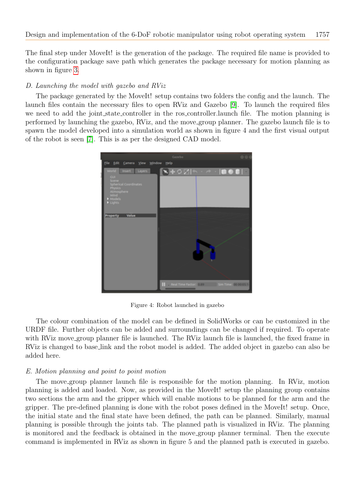The final step under MoveIt! is the generation of the package. The required file name is provided to the configuration package save path which generates the package necessary for motion planning as shown in figure [3.](#page-3-1)

# D. Launching the model with gazebo and RViz

The package generated by the MoveIt! setup contains two folders the config and the launch. The launch files contain the necessary files to open RViz and Gazebo [\[9\]](#page-7-6). To launch the required files we need to add the joint state controller in the ros controller. launch file. The motion planning is performed by launching the gazebo, RViz, and the move group planner. The gazebo launch file is to spawn the model developed into a simulation world as shown in figure 4 and the first visual output of the robot is seen [\[7\]](#page-7-7). This is as per the designed CAD model.



Figure 4: Robot launched in gazebo

The colour combination of the model can be defined in SolidWorks or can be customized in the URDF file. Further objects can be added and surroundings can be changed if required. To operate with RViz move group planner file is launched. The RViz launch file is launched, the fixed frame in RViz is changed to base link and the robot model is added. The added object in gazebo can also be added here.

### E. Motion planning and point to point motion

The move group planner launch file is responsible for the motion planning. In RViz, motion planning is added and loaded. Now, as provided in the MoveIt! setup the planning group contains two sections the arm and the gripper which will enable motions to be planned for the arm and the gripper. The pre-defined planning is done with the robot poses defined in the MoveIt! setup. Once, the initial state and the final state have been defined, the path can be planned. Similarly, manual planning is possible through the joints tab. The planned path is visualized in RViz. The planning is monitored and the feedback is obtained in the move group planner terminal. Then the execute command is implemented in RViz as shown in figure 5 and the planned path is executed in gazebo.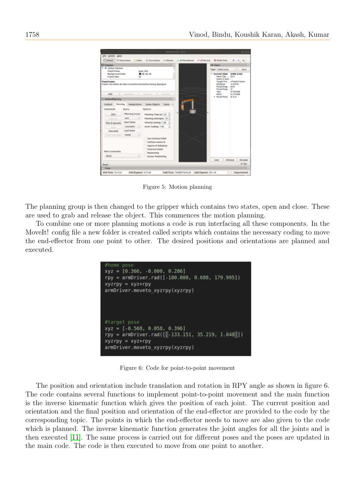

Figure 5: Motion planning

The planning group is then changed to the gripper which contains two states, open and close. These are used to grab and release the object. This commences the motion planning.

To combine one or more planning motions a code is run interfacing all these components. In the MoveIt! config file a new folder is created called scripts which contains the necessary coding to move the end-effector from one point to other. The desired positions and orientations are planned and executed.

| #home pose<br>$xyz = [0.366, -0.000, 0.286]$<br>rpy = armDriver.rad([-180.000, 0.688, 179.995])<br>$xyzry = xyz+ryy$<br>armDriver.moveto xyzrpy(xyzrpy) |
|---------------------------------------------------------------------------------------------------------------------------------------------------------|
|                                                                                                                                                         |
| #target pose<br>$xyz = [-0.568, 0.058, 0.396]$                                                                                                          |
| rpy = armDriver.rad([[.133.151, 35.219, 1.048]])                                                                                                        |
| $xyzry = xyz+ryy$<br>armDriver.moveto xyzrpy(xyzrpy)                                                                                                    |

Figure 6: Code for point-to-point movement

The position and orientation include translation and rotation in RPY angle as shown in figure 6. The code contains several functions to implement point-to-point movement and the main function is the inverse kinematic function which gives the position of each joint. The current position and orientation and the final position and orientation of the end-effector are provided to the code by the corresponding topic. The points in which the end-effector needs to move are also given to the code which is planned. The inverse kinematic function generates the joint angles for all the joints and is then executed [\[11\]](#page-7-8). The same process is carried out for different poses and the poses are updated in the main code. The code is then executed to move from one point to another.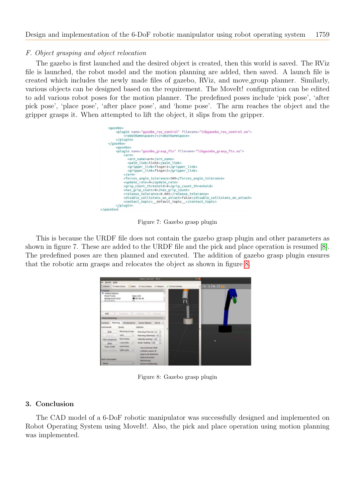### F. Object grasping and object relocation

The gazebo is first launched and the desired object is created, then this world is saved. The RViz file is launched, the robot model and the motion planning are added, then saved. A launch file is created which includes the newly made files of gazebo, RViz, and move group planner. Similarly, various objects can be designed based on the requirement. The MoveIt! configuration can be edited to add various robot poses for the motion planner. The predefined poses include 'pick pose', 'after pick pose', 'place pose', 'after place pose', and 'home pose'. The arm reaches the object and the gripper grasps it. When attempted to lift the object, it slips from the gripper.

| <gazebo></gazebo> |                                                                                                                        |
|-------------------|------------------------------------------------------------------------------------------------------------------------|
|                   | <plugin filename="libgazebo_ros_control.so" name="gazebo_ros_control"><br/><robotnamespace>/</robotnamespace></plugin> |
|                   | $<$ /plugin>                                                                                                           |
|                   |                                                                                                                        |
|                   | <gazebo></gazebo>                                                                                                      |
|                   | <plugin filename="libgazebo grasp fix.so" name="gazebo grasp fix"><br/><arm></arm></plugin>                            |
|                   | <arm name="">arm</arm>                                                                                                 |
|                   | <palm link="">link6</palm>                                                                                             |
|                   | <gripper link="">finger1</gripper>                                                                                     |
|                   | <gripper link="">finger2</gripper>                                                                                     |
|                   | $\le$ /arm>                                                                                                            |
|                   | <forces angle="" tolerance="">100</forces>                                                                             |
|                   | <update rate="">4</update>                                                                                             |
|                   | <grip count="" threshold="">4</grip>                                                                                   |
|                   | <max count="" grip="">8</max>                                                                                          |
|                   | <release tolerance="">0.005</release>                                                                                  |
|                   | <disable attach="" collisions="" on="">false</disable><br><contact topic=""> default topic </contact>                  |
|                   |                                                                                                                        |
|                   |                                                                                                                        |

Figure 7: Gazebo grasp plugin

This is because the URDF file does not contain the gazebo grasp plugin and other parameters as shown in figure 7. These are added to the URDF file and the pick and place operation is resumed [\[8\]](#page-7-9). The predefined poses are then planned and executed. The addition of gazebo grasp plugin ensures that the robotic arm grasps and relocates the object as shown in figure [8.](#page-6-0)

|                                                                                              |                       | mbel, relamb <sup>e</sup> - Wille                             |       |                   |  |
|----------------------------------------------------------------------------------------------|-----------------------|---------------------------------------------------------------|-------|-------------------|--|
| ile ganels pelp                                                                              |                       |                                                               |       |                   |  |
|                                                                                              |                       | Cantest Crew Cones Calent Chicacianes mineave / 20-hostalines |       | <b>Final Base</b> |  |
| <b>Displays</b>                                                                              |                       |                                                               | o     |                   |  |
| <b>Global Options</b><br><b>Fixed France</b><br><b>Beckground Color</b><br><b>Brama Bota</b> | 66.                   | base link<br>840, 40, 46                                      |       |                   |  |
| Add<br><b>MotionFlaming</b>                                                                  |                       | <b>Barnetta</b><br><b>Barbaroo</b>                            | $[1]$ |                   |  |
|                                                                                              |                       | Contast Planning Manipulation Scene Objects Store: >          |       |                   |  |
| Commands                                                                                     | Query                 | Jekleta                                                       |       |                   |  |
| Fian.                                                                                        | <b>Manning Group:</b> | Planning Time (d) 5.0   2                                     |       |                   |  |
| Executive                                                                                    | arm.<br>ŵ             | Flamning Attempts: 10                                         |       |                   |  |
| <b>Plan &amp; Eamoute</b>                                                                    | Start State:          | Welocity Scaling 1.00                                         |       |                   |  |
| Skop:                                                                                        | sparranks in          | Accel, Scaling 1.00                                           |       | ٠                 |  |
| <b><i>Time: 0.044</i></b>                                                                    | <b>Coul Mate:</b>     |                                                               |       |                   |  |
|                                                                                              | after pick = 1        | Use Carteslan Path.<br>Califoliate aware IK                   |       |                   |  |
|                                                                                              |                       | Approx IN Solutions                                           |       |                   |  |
|                                                                                              |                       | <b>External Comm.</b>                                         |       |                   |  |
| <b>Path Constraints</b><br><b>Replanning</b>                                                 |                       |                                                               |       |                   |  |
| <b>Notes</b>                                                                                 | ٠                     | <b>Samula Positioning</b>                                     |       |                   |  |

<span id="page-6-0"></span>Figure 8: Gazebo grasp plugin

### 3. Conclusion

The CAD model of a 6-DoF robotic manipulator was successfully designed and implemented on Robot Operating System using MoveIt!. Also, the pick and place operation using motion planning was implemented.